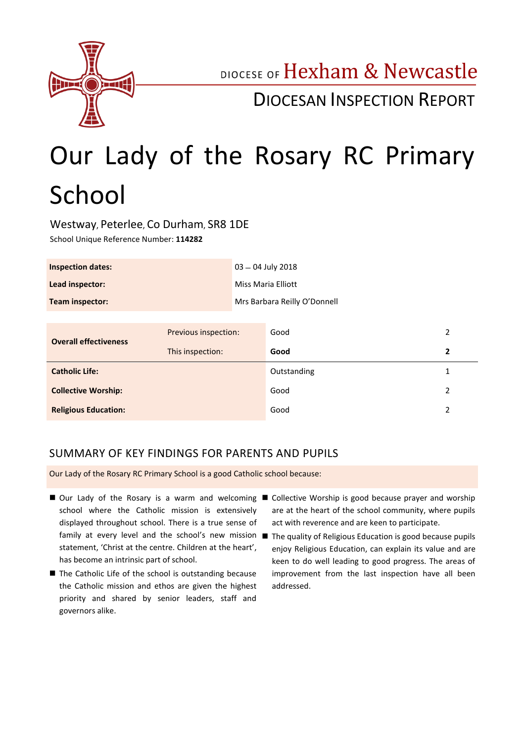

DIOCESE OF Hexham & Newcastle

## DIOCESAN INSPECTION REPORT

# Our Lady of the Rosary RC Primary School

Westway, Peterlee, Co Durham, SR8 1DE

School Unique Reference Number: **114282**

| <b>Inspection dates:</b>     |                      | $03 - 04$ July 2018          |             |                |
|------------------------------|----------------------|------------------------------|-------------|----------------|
| Lead inspector:              |                      | Miss Maria Elliott           |             |                |
| Team inspector:              |                      | Mrs Barbara Reilly O'Donnell |             |                |
|                              |                      |                              |             |                |
| <b>Overall effectiveness</b> | Previous inspection: |                              | Good        | $\overline{2}$ |
|                              | This inspection:     |                              | Good        | $\overline{2}$ |
| <b>Catholic Life:</b>        |                      |                              | Outstanding | 1              |
| <b>Collective Worship:</b>   |                      |                              | Good        | 2              |
| <b>Religious Education:</b>  |                      |                              |             |                |

## SUMMARY OF KEY FINDINGS FOR PARENTS AND PUPILS

Our Lady of the Rosary RC Primary School is a good Catholic school because:

- school where the Catholic mission is extensively displayed throughout school. There is a true sense of family at every level and the school's new mission statement, 'Christ at the centre. Children at the heart', has become an intrinsic part of school.
- The Catholic Life of the school is outstanding because the Catholic mission and ethos are given the highest priority and shared by senior leaders, staff and governors alike.
- Our Lady of the Rosary is a warm and welcoming Collective Worship is good because prayer and worship are at the heart of the school community, where pupils act with reverence and are keen to participate.
	- The quality of Religious Education is good because pupils enjoy Religious Education, can explain its value and are keen to do well leading to good progress. The areas of improvement from the last inspection have all been addressed.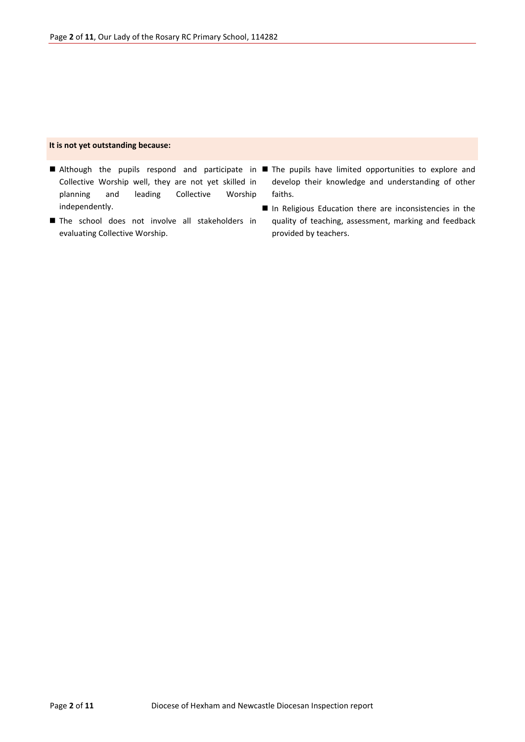#### **It is not yet outstanding because:**

- Although the pupils respond and participate in The pupils have limited opportunities to explore and Collective Worship well, they are not yet skilled in planning and leading Collective Worship independently.
- The school does not involve all stakeholders in evaluating Collective Worship.
- develop their knowledge and understanding of other faiths.
- In Religious Education there are inconsistencies in the quality of teaching, assessment, marking and feedback provided by teachers.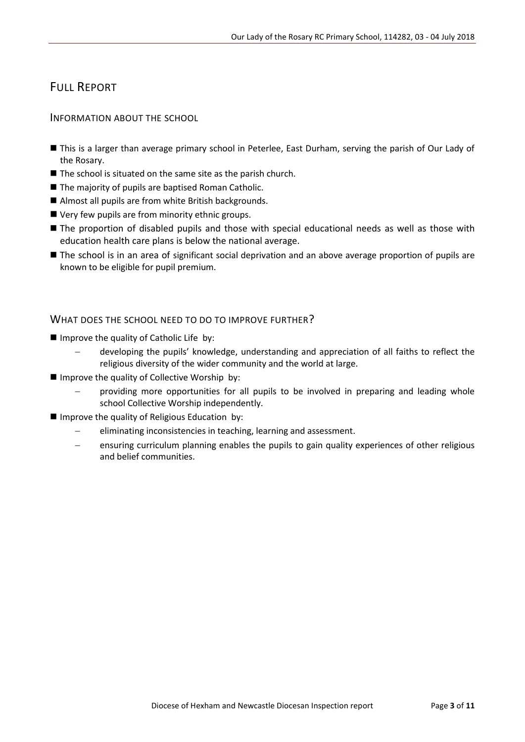## FULL REPORT

#### INFORMATION ABOUT THE SCHOOL

- This is a larger than average primary school in Peterlee, East Durham, serving the parish of Our Lady of the Rosary.
- $\blacksquare$  The school is situated on the same site as the parish church.
- The majority of pupils are baptised Roman Catholic.
- Almost all pupils are from white British backgrounds.
- Very few pupils are from minority ethnic groups.
- The proportion of disabled pupils and those with special educational needs as well as those with education health care plans is below the national average.
- The school is in an area of significant social deprivation and an above average proportion of pupils are known to be eligible for pupil premium.

#### WHAT DOES THE SCHOOL NEED TO DO TO IMPROVE FURTHER?

- Improve the quality of Catholic Life by:
	- developing the pupils' knowledge, understanding and appreciation of all faiths to reflect the religious diversity of the wider community and the world at large.
- **Improve the quality of Collective Worship by:** 
	- providing more opportunities for all pupils to be involved in preparing and leading whole school Collective Worship independently.
- **Improve the quality of Religious Education by:** 
	- eliminating inconsistencies in teaching, learning and assessment.
	- ensuring curriculum planning enables the pupils to gain quality experiences of other religious and belief communities.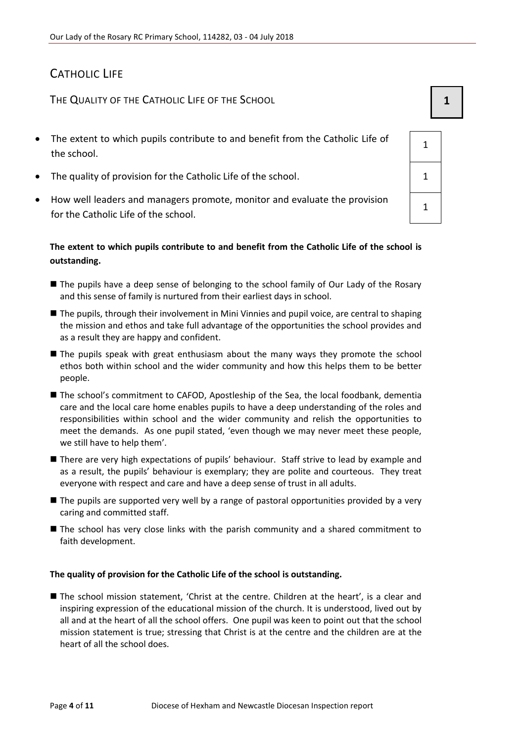## CATHOLIC LIFE

THE QUALITY OF THE CATHOLIC LIFE OF THE SCHOOL **1 1** 

- The extent to which pupils contribute to and benefit from the Catholic Life of the school.
- The quality of provision for the Catholic Life of the school.
- How well leaders and managers promote, monitor and evaluate the provision for the Catholic Life of the school.

#### **The extent to which pupils contribute to and benefit from the Catholic Life of the school is outstanding.**

- The pupils have a deep sense of belonging to the school family of Our Lady of the Rosary and this sense of family is nurtured from their earliest days in school.
- The pupils, through their involvement in Mini Vinnies and pupil voice, are central to shaping the mission and ethos and take full advantage of the opportunities the school provides and as a result they are happy and confident.
- The pupils speak with great enthusiasm about the many ways they promote the school ethos both within school and the wider community and how this helps them to be better people.
- The school's commitment to CAFOD, Apostleship of the Sea, the local foodbank, dementia care and the local care home enables pupils to have a deep understanding of the roles and responsibilities within school and the wider community and relish the opportunities to meet the demands. As one pupil stated, 'even though we may never meet these people, we still have to help them'.
- **There are very high expectations of pupils' behaviour. Staff strive to lead by example and** as a result, the pupils' behaviour is exemplary; they are polite and courteous. They treat everyone with respect and care and have a deep sense of trust in all adults.
- The pupils are supported very well by a range of pastoral opportunities provided by a very caring and committed staff.
- The school has very close links with the parish community and a shared commitment to faith development.

#### **The quality of provision for the Catholic Life of the school is outstanding.**

 The school mission statement, 'Christ at the centre. Children at the heart', is a clear and inspiring expression of the educational mission of the church. It is understood, lived out by all and at the heart of all the school offers. One pupil was keen to point out that the school mission statement is true; stressing that Christ is at the centre and the children are at the heart of all the school does.

| 1 |  |
|---|--|
| 1 |  |
| 1 |  |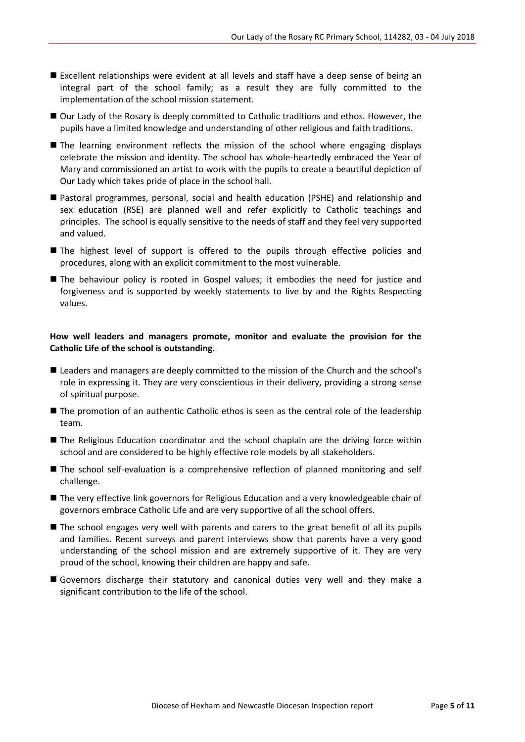- Excellent relationships were evident at all levels and staff have a deep sense of being an integral part of the school family; as a result they are fully committed to the implementation of the school mission statement.
- Our Lady of the Rosary is deeply committed to Catholic traditions and ethos. However, the pupils have a limited knowledge and understanding of other religious and faith traditions.
- $\blacksquare$  The learning environment reflects the mission of the school where engaging displays celebrate the mission and identity. The school has whole-heartedly embraced the Year of Mary and commissioned an artist to work with the pupils to create a beautiful depiction of Our Lady which takes pride of place in the school hall.
- Pastoral programmes, personal, social and health education (PSHE) and relationship and sex education (RSE) are planned well and refer explicitly to Catholic teachings and principles. The school is equally sensitive to the needs of staff and they feel very supported and valued.
- The highest level of support is offered to the pupils through effective policies and procedures, along with an explicit commitment to the most vulnerable.
- The behaviour policy is rooted in Gospel values; it embodies the need for justice and forgiveness and is supported by weekly statements to live by and the Rights Respecting values.

#### **How well leaders and managers promote, monitor and evaluate the provision for the Catholic Life of the school is outstanding.**

- Leaders and managers are deeply committed to the mission of the Church and the school's role in expressing it. They are very conscientious in their delivery, providing a strong sense of spiritual purpose.
- The promotion of an authentic Catholic ethos is seen as the central role of the leadership team.
- **The Religious Education coordinator and the school chaplain are the driving force within** school and are considered to be highly effective role models by all stakeholders.
- The school self-evaluation is a comprehensive reflection of planned monitoring and self challenge.
- The very effective link governors for Religious Education and a very knowledgeable chair of governors embrace Catholic Life and are very supportive of all the school offers.
- The school engages very well with parents and carers to the great benefit of all its pupils and families. Recent surveys and parent interviews show that parents have a very good understanding of the school mission and are extremely supportive of it. They are very proud of the school, knowing their children are happy and safe.
- Governors discharge their statutory and canonical duties very well and they make a significant contribution to the life of the school.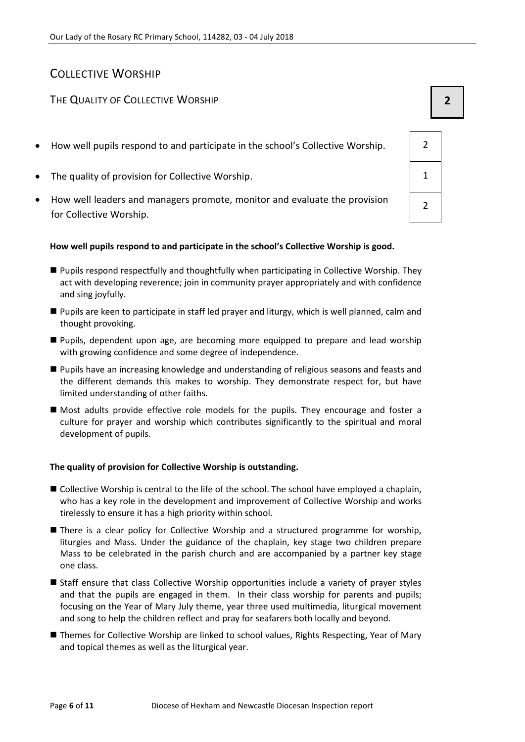## COLLECTIVE WORSHIP

#### THE QUALITY OF COLLECTIVE WORSHIP **2 2**

- How well pupils respond to and participate in the school's Collective Worship.  $\vert$  2
- The quality of provision for Collective Worship. The quality of provision for Collective Worship.
- How well leaders and managers promote, monitor and evaluate the provision for Collective Worship.

#### **How well pupils respond to and participate in the school's Collective Worship is good.**

- Pupils respond respectfully and thoughtfully when participating in Collective Worship. They act with developing reverence; join in community prayer appropriately and with confidence and sing joyfully.
- Pupils are keen to participate in staff led prayer and liturgy, which is well planned, calm and thought provoking.
- Pupils, dependent upon age, are becoming more equipped to prepare and lead worship with growing confidence and some degree of independence.
- Pupils have an increasing knowledge and understanding of religious seasons and feasts and the different demands this makes to worship. They demonstrate respect for, but have limited understanding of other faiths.
- Most adults provide effective role models for the pupils. They encourage and foster a culture for prayer and worship which contributes significantly to the spiritual and moral development of pupils.

#### **The quality of provision for Collective Worship is outstanding.**

- Collective Worship is central to the life of the school. The school have employed a chaplain, who has a key role in the development and improvement of Collective Worship and works tirelessly to ensure it has a high priority within school.
- There is a clear policy for Collective Worship and a structured programme for worship, liturgies and Mass. Under the guidance of the chaplain, key stage two children prepare Mass to be celebrated in the parish church and are accompanied by a partner key stage one class.
- Staff ensure that class Collective Worship opportunities include a variety of prayer styles and that the pupils are engaged in them. In their class worship for parents and pupils; focusing on the Year of Mary July theme, year three used multimedia, liturgical movement and song to help the children reflect and pray for seafarers both locally and beyond.
- Themes for Collective Worship are linked to school values, Rights Respecting, Year of Mary and topical themes as well as the liturgical year.

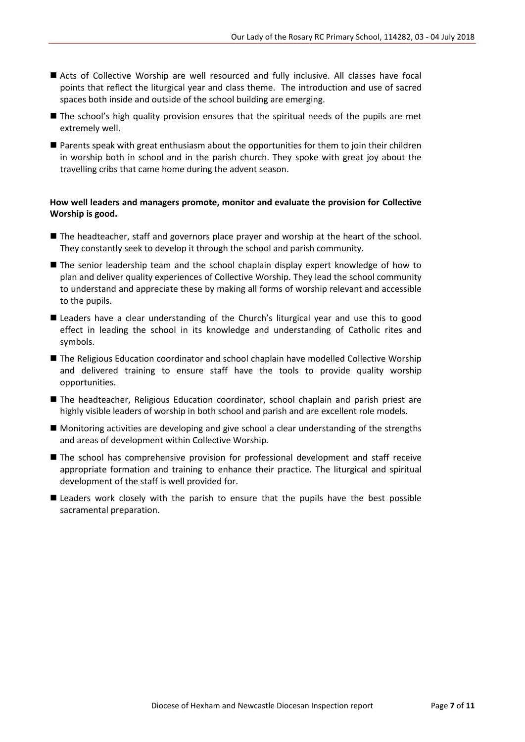- Acts of Collective Worship are well resourced and fully inclusive. All classes have focal points that reflect the liturgical year and class theme. The introduction and use of sacred spaces both inside and outside of the school building are emerging.
- **The school's high quality provision ensures that the spiritual needs of the pupils are met** extremely well.
- Parents speak with great enthusiasm about the opportunities for them to join their children in worship both in school and in the parish church. They spoke with great joy about the travelling cribs that came home during the advent season.

#### **How well leaders and managers promote, monitor and evaluate the provision for Collective Worship is good.**

- The headteacher, staff and governors place prayer and worship at the heart of the school. They constantly seek to develop it through the school and parish community.
- The senior leadership team and the school chaplain display expert knowledge of how to plan and deliver quality experiences of Collective Worship. They lead the school community to understand and appreciate these by making all forms of worship relevant and accessible to the pupils.
- Leaders have a clear understanding of the Church's liturgical year and use this to good effect in leading the school in its knowledge and understanding of Catholic rites and symbols.
- The Religious Education coordinator and school chaplain have modelled Collective Worship and delivered training to ensure staff have the tools to provide quality worship opportunities.
- The headteacher, Religious Education coordinator, school chaplain and parish priest are highly visible leaders of worship in both school and parish and are excellent role models.
- Monitoring activities are developing and give school a clear understanding of the strengths and areas of development within Collective Worship.
- The school has comprehensive provision for professional development and staff receive appropriate formation and training to enhance their practice. The liturgical and spiritual development of the staff is well provided for.
- **E** Leaders work closely with the parish to ensure that the pupils have the best possible sacramental preparation.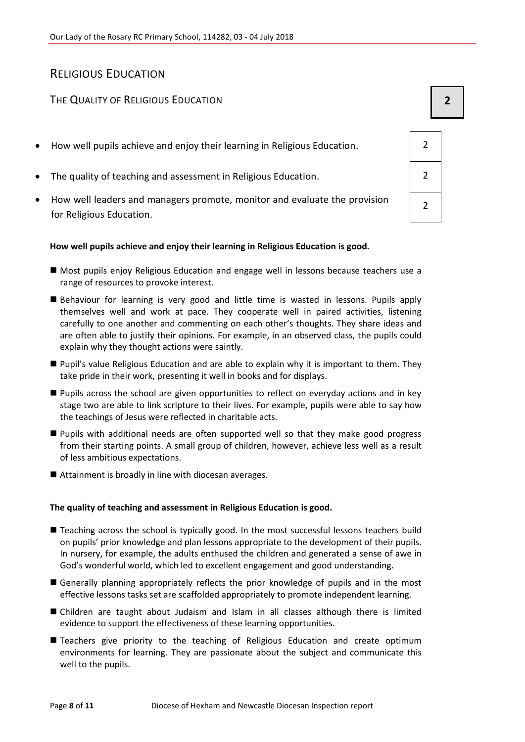## RELIGIOUS EDUCATION

## THE QUALITY OF RELIGIOUS EDUCATION **2**

- How well pupils achieve and enjoy their learning in Religious Education. 2
- The quality of teaching and assessment in Religious Education. 2
- How well leaders and managers promote, monitor and evaluate the provision for Religious Education.

#### **How well pupils achieve and enjoy their learning in Religious Education is good.**

- Most pupils enjoy Religious Education and engage well in lessons because teachers use a range of resources to provoke interest.
- Behaviour for learning is very good and little time is wasted in lessons. Pupils apply themselves well and work at pace. They cooperate well in paired activities, listening carefully to one another and commenting on each other's thoughts. They share ideas and are often able to justify their opinions. For example, in an observed class, the pupils could explain why they thought actions were saintly.
- Pupil's value Religious Education and are able to explain why it is important to them. They take pride in their work, presenting it well in books and for displays.
- Pupils across the school are given opportunities to reflect on everyday actions and in key stage two are able to link scripture to their lives. For example, pupils were able to say how the teachings of Jesus were reflected in charitable acts.
- Pupils with additional needs are often supported well so that they make good progress from their starting points. A small group of children, however, achieve less well as a result of less ambitious expectations.
- Attainment is broadly in line with diocesan averages.

#### **The quality of teaching and assessment in Religious Education is good.**

- Teaching across the school is typically good. In the most successful lessons teachers build on pupils' prior knowledge and plan lessons appropriate to the development of their pupils. In nursery, for example, the adults enthused the children and generated a sense of awe in God's wonderful world, which led to excellent engagement and good understanding.
- Generally planning appropriately reflects the prior knowledge of pupils and in the most effective lessons tasks set are scaffolded appropriately to promote independent learning.
- Children are taught about Judaism and Islam in all classes although there is limited evidence to support the effectiveness of these learning opportunities.
- Teachers give priority to the teaching of Religious Education and create optimum environments for learning. They are passionate about the subject and communicate this well to the pupils.

| $\overline{2}$ |  |
|----------------|--|
| $\overline{2}$ |  |
| $\overline{2}$ |  |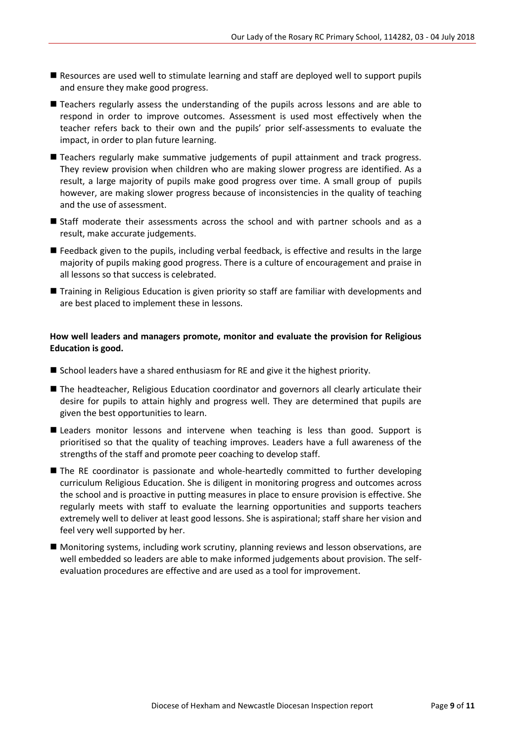- Resources are used well to stimulate learning and staff are deployed well to support pupils and ensure they make good progress.
- Teachers regularly assess the understanding of the pupils across lessons and are able to respond in order to improve outcomes. Assessment is used most effectively when the teacher refers back to their own and the pupils' prior self-assessments to evaluate the impact, in order to plan future learning.
- Teachers regularly make summative judgements of pupil attainment and track progress. They review provision when children who are making slower progress are identified. As a result, a large majority of pupils make good progress over time. A small group of pupils however, are making slower progress because of inconsistencies in the quality of teaching and the use of assessment.
- Staff moderate their assessments across the school and with partner schools and as a result, make accurate judgements.
- Feedback given to the pupils, including verbal feedback, is effective and results in the large majority of pupils making good progress. There is a culture of encouragement and praise in all lessons so that success is celebrated.
- **Training in Religious Education is given priority so staff are familiar with developments and** are best placed to implement these in lessons.

#### **How well leaders and managers promote, monitor and evaluate the provision for Religious Education is good.**

- School leaders have a shared enthusiasm for RE and give it the highest priority.
- The headteacher, Religious Education coordinator and governors all clearly articulate their desire for pupils to attain highly and progress well. They are determined that pupils are given the best opportunities to learn.
- Leaders monitor lessons and intervene when teaching is less than good. Support is prioritised so that the quality of teaching improves. Leaders have a full awareness of the strengths of the staff and promote peer coaching to develop staff.
- The RE coordinator is passionate and whole-heartedly committed to further developing curriculum Religious Education. She is diligent in monitoring progress and outcomes across the school and is proactive in putting measures in place to ensure provision is effective. She regularly meets with staff to evaluate the learning opportunities and supports teachers extremely well to deliver at least good lessons. She is aspirational; staff share her vision and feel very well supported by her.
- Monitoring systems, including work scrutiny, planning reviews and lesson observations, are well embedded so leaders are able to make informed judgements about provision. The selfevaluation procedures are effective and are used as a tool for improvement.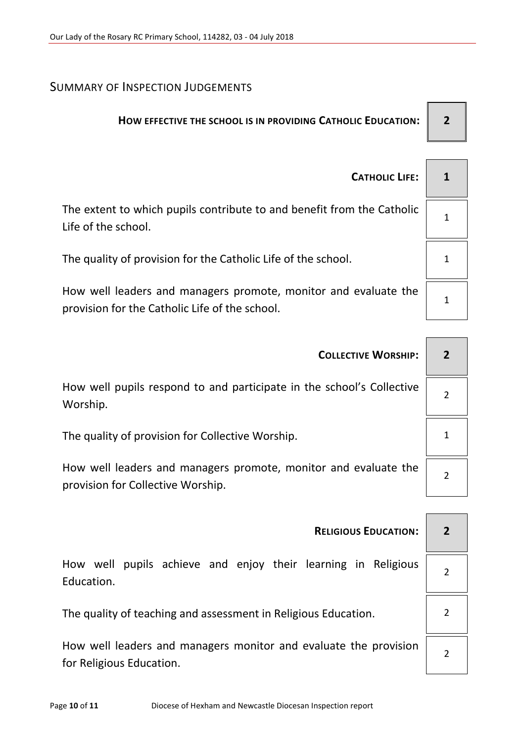### SUMMARY OF INSPECTION JUDGEMENTS

#### **HOW EFFECTIVE THE SCHOOL IS IN PROVIDING CATHOLIC EDUCATION: 2**

| <b>CATHOLIC LIFE:</b>                                                                                             |  |
|-------------------------------------------------------------------------------------------------------------------|--|
| The extent to which pupils contribute to and benefit from the Catholic<br>Life of the school.                     |  |
| The quality of provision for the Catholic Life of the school.                                                     |  |
| How well leaders and managers promote, monitor and evaluate the<br>provision for the Catholic Life of the school. |  |

| <b>COLLECTIVE WORSHIP:</b>                                                                           |  |
|------------------------------------------------------------------------------------------------------|--|
| How well pupils respond to and participate in the school's Collective<br>Worship.                    |  |
| The quality of provision for Collective Worship.                                                     |  |
| How well leaders and managers promote, monitor and evaluate the<br>provision for Collective Worship. |  |
|                                                                                                      |  |
| <b>RELIGIOUS EDUCATION:</b>                                                                          |  |

How well pupils achieve and enjoy their learning in Religious Education.

The quality of teaching and assessment in Religious Education.  $\vert$  2

How well leaders and managers monitor and evaluate the provision for Religious Education.

2

2